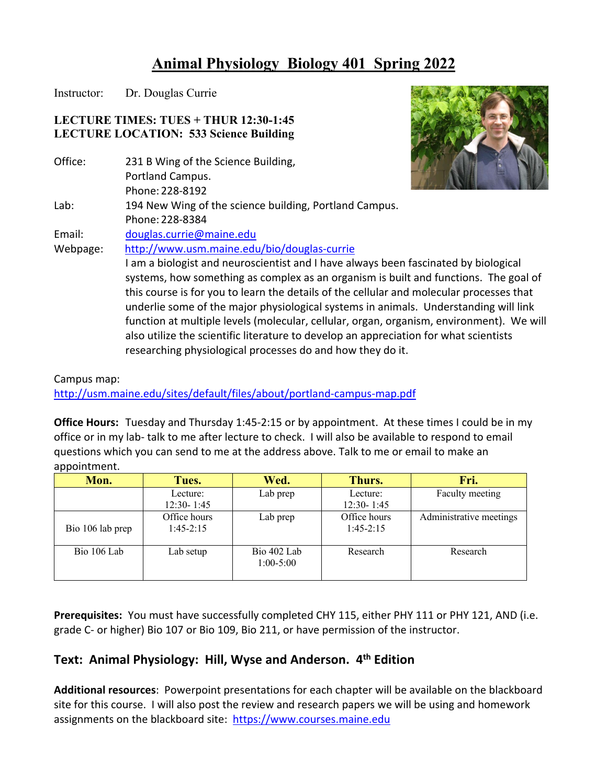# **Animal Physiology Biology 401 Spring 2022**

Instructor: Dr. Douglas Currie

Office:

 $Lab:$ 

Email:

# **LECTURE TIMES: TUES + THUR 12:30-1:45 LECTURE LOCATION: 533 Science Building**



 Campus map: <http://usm.maine.edu/sites/default/files/about/portland-campus-map.pdf>

researching physiological processes do and how they do it.

 **Office Hours:** Tuesday and Thursday 1:45-2:15 or by appointment. At these times I could be in my office or in my lab- talk to me after lecture to check. I will also be available to respond to email questions which you can send to me at the address above. Talk to me or email to make an appointment.

| Mon.             | Tues.          | Wed.        | Thurs.         | Fri.                    |
|------------------|----------------|-------------|----------------|-------------------------|
|                  | Lecture:       | Lab prep    | Lecture:       | Faculty meeting         |
|                  | $12:30 - 1:45$ |             | $12:30 - 1:45$ |                         |
|                  | Office hours   | Lab prep    | Office hours   | Administrative meetings |
| Bio 106 lab prep | $1:45-2:15$    |             | $1:45-2:15$    |                         |
|                  |                |             |                |                         |
| Bio 106 Lab      | Lab setup      | Bio 402 Lab | Research       | Research                |
|                  |                | $1:00-5:00$ |                |                         |
|                  |                |             |                |                         |

 **Prerequisites:** You must have successfully completed CHY 115, either PHY 111 or PHY 121, AND (i.e. grade C- or higher) Bio 107 or Bio 109, Bio 211, or have permission of the instructor.

# **Text: Animal Physiology: Hill, Wyse and Anderson. 4th Edition**

 **Additional resources**: Powerpoint presentations for each chapter will be available on the blackboard site for this course. I will also post the review and research papers we will be using and homework assignments on the blackboard site: https://www.courses.maine.edu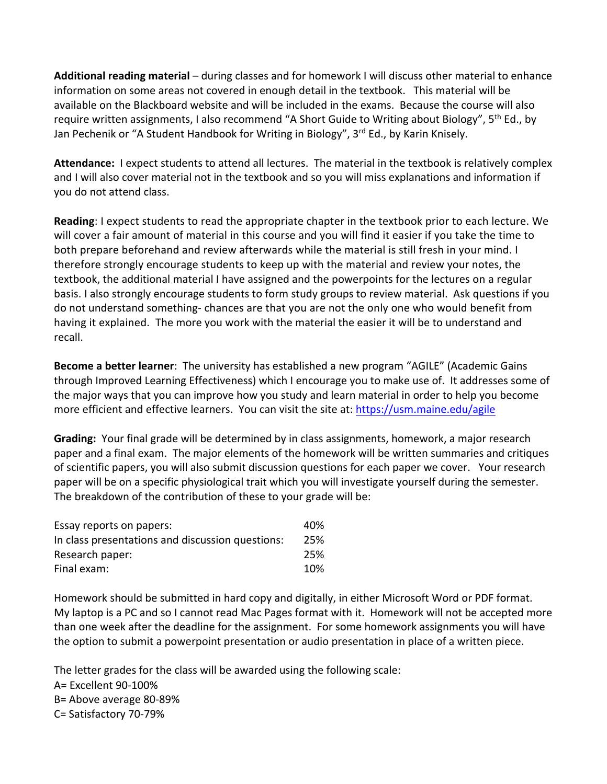**Additional reading material** – during classes and for homework I will discuss other material to enhance information on some areas not covered in enough detail in the textbook. This material will be available on the Blackboard website and will be included in the exams. Because the course will also require written assignments, I also recommend "A Short Guide to Writing about Biology", 5<sup>th</sup> Ed., by Jan Pechenik or "A Student Handbook for Writing in Biology", 3<sup>rd</sup> Ed., by Karin Knisely.

 **Attendance:** I expect students to attend all lectures. The material in the textbook is relatively complex and I will also cover material not in the textbook and so you will miss explanations and information if you do not attend class.

 **Reading**: I expect students to read the appropriate chapter in the textbook prior to each lecture. We therefore strongly encourage students to keep up with the material and review your notes, the textbook, the additional material I have assigned and the powerpoints for the lectures on a regular basis. I also strongly encourage students to form study groups to review material. Ask questions if you do not understand something- chances are that you are not the only one who would benefit from having it explained. The more you work with the material the easier it will be to understand and will cover a fair amount of material in this course and you will find it easier if you take the time to both prepare beforehand and review afterwards while the material is still fresh in your mind. I recall.

 **Become a better learner**: The university has established a new program "AGILE" (Academic Gains through Improved Learning Effectiveness) which I encourage you to make use of. It addresses some of the major ways that you can improve how you study and learn material in order to help you become more efficient and effective learners. You can visit the site at: https://usm.maine.edu/agile

 **Grading:** Your final grade will be determined by in class assignments, homework, a major research paper and a final exam. The major elements of the homework will be written summaries and critiques of scientific papers, you will also submit discussion questions for each paper we cover. Your research paper will be on a specific physiological trait which you will investigate yourself during the semester. The breakdown of the contribution of these to your grade will be:

| Essay reports on papers:                         | 40% |
|--------------------------------------------------|-----|
| In class presentations and discussion questions: | 25% |
| Research paper:                                  | 25% |
| Final exam:                                      | 10% |

 Homework should be submitted in hard copy and digitally, in either Microsoft Word or PDF format. My laptop is a PC and so I cannot read Mac Pages format with it. Homework will not be accepted more than one week after the deadline for the assignment. For some homework assignments you will have the option to submit a powerpoint presentation or audio presentation in place of a written piece.

 The letter grades for the class will be awarded using the following scale: B= Above average 80-89% A= Excellent 90-100% C= Satisfactory 70-79%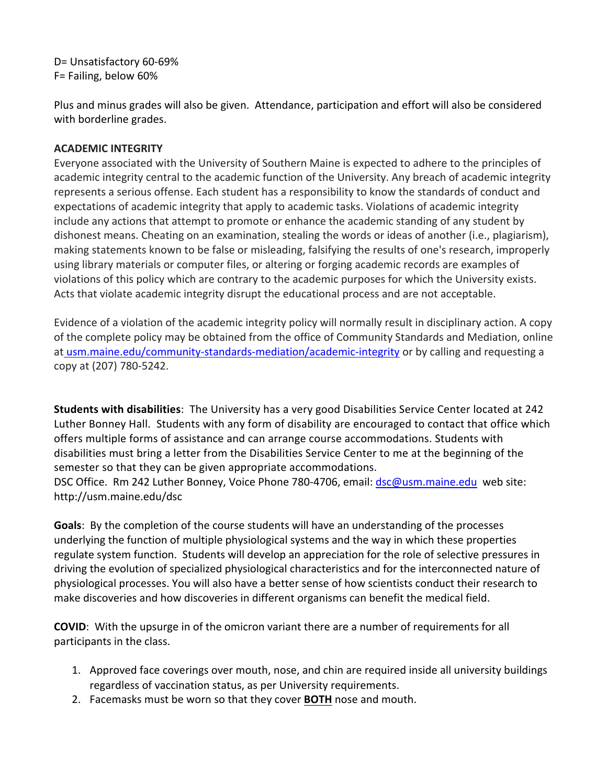D= Unsatisfactory 60-69% F= Failing, below 60%

 Plus and minus grades will also be given. Attendance, participation and effort will also be considered with borderline grades.

# **ACADEMIC INTEGRITY**

 Everyone associated with the University of Southern Maine is expected to adhere to the principles of academic integrity central to the academic function of the University. Any breach of academic integrity represents a serious offense. Each student has a responsibility to know the standards of conduct and expectations of academic integrity that apply to academic tasks. Violations of academic integrity include any actions that attempt to promote or enhance the academic standing of any student by dishonest means. Cheating on an examination, stealing the words or ideas of another (i.e., plagiarism), making statements known to be false or misleading, falsifying the results of one's research, improperly using library materials or computer files, or altering or forging academic records are examples of violations of this policy which are contrary to the academic purposes for which the University exists. Acts that violate academic integrity disrupt the educational process and are not acceptable.

 Evidence of a violation of the academic integrity policy will normally result in disciplinary action. A copy of the complete policy may be obtained from the office of Community Standards and Mediation, online at [usm.maine.edu/community-standards-mediation/academic-integrity](https://usm.maine.edu/community-standards-mediation/academic-integrity) or by calling and requesting a copy at (207) 780-5242.

 **Students with disabilities**: The University has a very good Disabilities Service Center located at 242 Luther Bonney Hall. Students with any form of disability are encouraged to contact that office which offers multiple forms of assistance and can arrange course accommodations. Students with disabilities must bring a letter from the Disabilities Service Center to me at the beginning of the semester so that they can be given appropriate accommodations.

DSC Office. Rm 242 Luther Bonney, Voice Phone 780-4706, email: *dsc@usm.maine.edu* web site: <http://usm.maine.edu/dsc>

 **Goals**: By the completion of the course students will have an understanding of the processes underlying the function of multiple physiological systems and the way in which these properties regulate system function. Students will develop an appreciation for the role of selective pressures in driving the evolution of specialized physiological characteristics and for the interconnected nature of physiological processes. You will also have a better sense of how scientists conduct their research to make discoveries and how discoveries in different organisms can benefit the medical field.

 **COVID**: With the upsurge in of the omicron variant there are a number of requirements for all participants in the class.

- 1. Approved face coverings over mouth, nose, and chin are required inside all university buildings regardless of vaccination status, as per University requirements.
- 2. Facemasks must be worn so that they cover **BOTH** nose and mouth.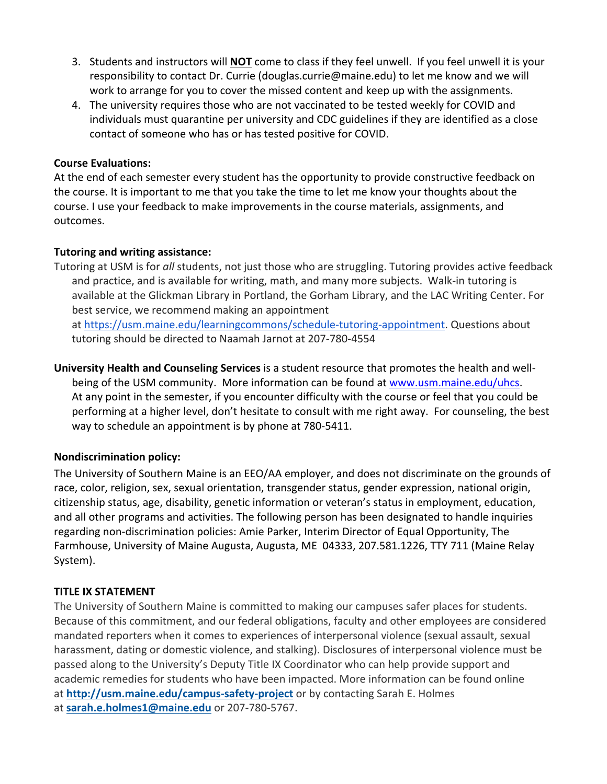- 3. Students and instructors will **NOT** come to class if they feel unwell. If you feel unwell it is your responsibility to contact Dr. Currie [\(douglas.currie@maine.edu](mailto:douglas.currie@maine.edu)) to let me know and we will work to arrange for you to cover the missed content and keep up with the assignments.
- 4. The university requires those who are not vaccinated to be tested weekly for COVID and individuals must quarantine per university and CDC guidelines if they are identified as a close contact of someone who has or has tested positive for COVID.

#### **Course Evaluations:**

 At the end of each semester every student has the opportunity to provide constructive feedback on the course. It is important to me that you take the time to let me know your thoughts about the course. I use your feedback to make improvements in the course materials, assignments, and outcomes.

#### **Tutoring and writing assistance:**

 Tutoring at USM is for *all* students, not just those who are struggling. Tutoring provides active feedback and practice, and is available for writing, math, and many more subjects. Walk-in tutoring is available at the Glickman Library in Portland, the Gorham Library, and the LAC Writing Center. For best service, we recommend making an appointment

at <https://usm.maine.edu/learningcommons/schedule-tutoring-appointment>. Questions about tutoring should be directed to Naamah Jarnot at 207-780-4554

 **University Health and Counseling Services** is a student resource that promotes the health and wellbeing of the USM community. More information can be found at <www.usm.maine.edu/uhcs>. At any point in the semester, if you encounter difficulty with the course or feel that you could be performing at a higher level, don't hesitate to consult with me right away. For counseling, the best way to schedule an appointment is by phone at 780-5411.

# **Nondiscrimination policy:**

 The University of Southern Maine is an EEO/AA employer, and does not discriminate on the grounds of race, color, religion, sex, sexual orientation, transgender status, gender expression, national origin, citizenship status, age, disability, genetic information or veteran's status in employment, education, and all other programs and activities. The following person has been designated to handle inquiries regarding non-discrimination policies: Amie Parker, Interim Director of Equal Opportunity, The Farmhouse, University of Maine Augusta, Augusta, ME 04333, 207.581.1226, TTY 711 (Maine Relay System).

# **TITLE IX STATEMENT**

 The University of Southern Maine is committed to making our campuses safer places for students. Because of this commitment, and our federal obligations, faculty and other employees are considered mandated reporters when it comes to experiences of interpersonal violence (sexual assault, sexual harassment, dating or domestic violence, and stalking). Disclosures of interpersonal violence must be passed along to the University's Deputy Title IX Coordinator who can help provide support and academic remedies for students who have been impacted. More information can be found online at **<http://usm.maine.edu/campus-safety-project>**or by contacting Sarah E. Holmes at **[sarah.e.holmes1@maine.edu](mailto:sarah.e.holmes1@maine.edu)** or 207-780-5767.